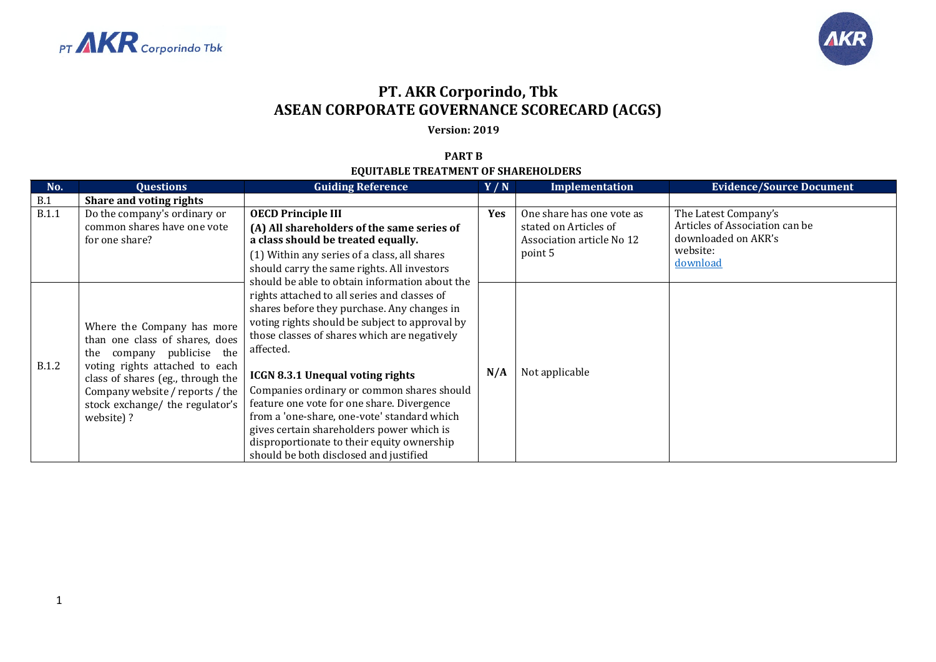



## **PT. AKR Corporindo, Tbk ASEAN CORPORATE GOVERNANCE SCORECARD (ACGS)**

**Version: 2019**

## **PART B EQUITABLE TREATMENT OF SHAREHOLDERS**

| No.          | <b>Questions</b>                                                                                                                                                                                                                                       | <b>Guiding Reference</b>                                                                                                                                                                                                                                                                                                                                                                                                                                                                                                                                                                | Y/N        | Implementation                                                                             | <b>Evidence/Source Document</b>                                                                       |
|--------------|--------------------------------------------------------------------------------------------------------------------------------------------------------------------------------------------------------------------------------------------------------|-----------------------------------------------------------------------------------------------------------------------------------------------------------------------------------------------------------------------------------------------------------------------------------------------------------------------------------------------------------------------------------------------------------------------------------------------------------------------------------------------------------------------------------------------------------------------------------------|------------|--------------------------------------------------------------------------------------------|-------------------------------------------------------------------------------------------------------|
| B.1          | Share and voting rights                                                                                                                                                                                                                                |                                                                                                                                                                                                                                                                                                                                                                                                                                                                                                                                                                                         |            |                                                                                            |                                                                                                       |
| <b>B.1.1</b> | Do the company's ordinary or<br>common shares have one vote<br>for one share?                                                                                                                                                                          | <b>OECD Principle III</b><br>(A) All shareholders of the same series of<br>a class should be treated equally.<br>(1) Within any series of a class, all shares<br>should carry the same rights. All investors                                                                                                                                                                                                                                                                                                                                                                            | <b>Yes</b> | One share has one vote as<br>stated on Articles of<br>Association article No 12<br>point 5 | The Latest Company's<br>Articles of Association can be<br>downloaded on AKR's<br>website:<br>download |
| <b>B.1.2</b> | Where the Company has more<br>than one class of shares, does<br>company publicise the<br>the<br>voting rights attached to each<br>class of shares (eg., through the<br>Company website / reports / the<br>stock exchange/ the regulator's<br>website)? | should be able to obtain information about the<br>rights attached to all series and classes of<br>shares before they purchase. Any changes in<br>voting rights should be subject to approval by<br>those classes of shares which are negatively<br>affected.<br><b>ICGN 8.3.1 Unequal voting rights</b><br>Companies ordinary or common shares should<br>feature one vote for one share. Divergence<br>from a 'one-share, one-vote' standard which<br>gives certain shareholders power which is<br>disproportionate to their equity ownership<br>should be both disclosed and justified | N/A        | Not applicable                                                                             |                                                                                                       |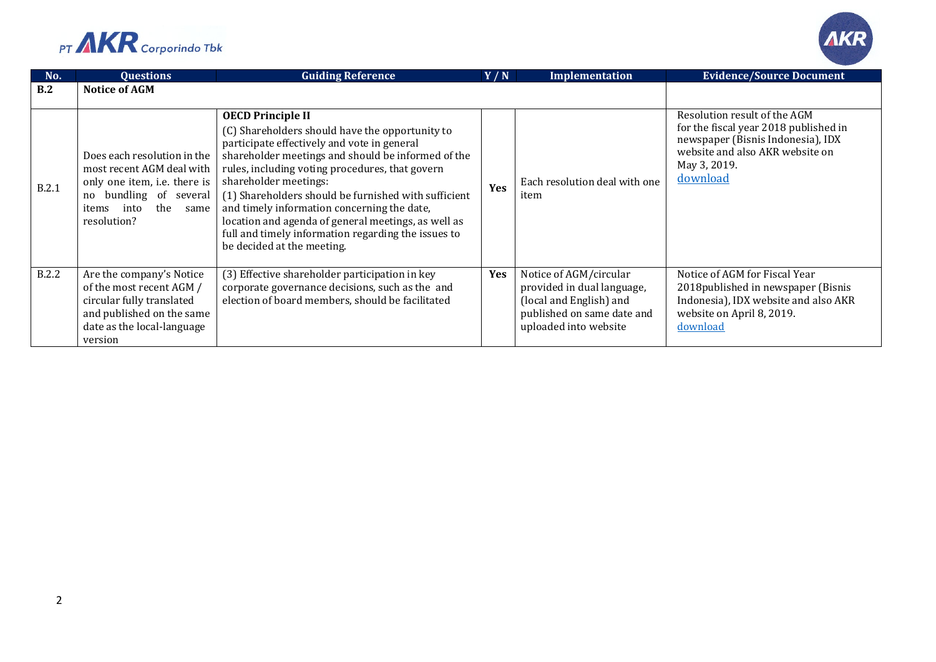



| No.   | <b>Questions</b>                                                                                                                                                  | <b>Guiding Reference</b>                                                                                                                                                                                                                                                                                                                                                                                                                                                                                        | Y/N        | <b>Implementation</b>                                                                                                                  | <b>Evidence/Source Document</b>                                                                                                                                           |
|-------|-------------------------------------------------------------------------------------------------------------------------------------------------------------------|-----------------------------------------------------------------------------------------------------------------------------------------------------------------------------------------------------------------------------------------------------------------------------------------------------------------------------------------------------------------------------------------------------------------------------------------------------------------------------------------------------------------|------------|----------------------------------------------------------------------------------------------------------------------------------------|---------------------------------------------------------------------------------------------------------------------------------------------------------------------------|
| B.2   | <b>Notice of AGM</b>                                                                                                                                              |                                                                                                                                                                                                                                                                                                                                                                                                                                                                                                                 |            |                                                                                                                                        |                                                                                                                                                                           |
| B.2.1 | Does each resolution in the<br>most recent AGM deal with<br>only one item, i.e. there is<br>no bundling of several<br>the<br>into<br>same<br>items<br>resolution? | <b>OECD Principle II</b><br>(C) Shareholders should have the opportunity to<br>participate effectively and vote in general<br>shareholder meetings and should be informed of the<br>rules, including voting procedures, that govern<br>shareholder meetings:<br>(1) Shareholders should be furnished with sufficient<br>and timely information concerning the date,<br>location and agenda of general meetings, as well as<br>full and timely information regarding the issues to<br>be decided at the meeting. | <b>Yes</b> | Each resolution deal with one<br>item                                                                                                  | Resolution result of the AGM<br>for the fiscal year 2018 published in<br>newspaper (Bisnis Indonesia), IDX<br>website and also AKR website on<br>May 3, 2019.<br>download |
| B.2.2 | Are the company's Notice<br>of the most recent AGM /<br>circular fully translated<br>and published on the same<br>date as the local-language<br>version           | (3) Effective shareholder participation in key<br>corporate governance decisions, such as the and<br>election of board members, should be facilitated                                                                                                                                                                                                                                                                                                                                                           | Yes        | Notice of AGM/circular<br>provided in dual language,<br>(local and English) and<br>published on same date and<br>uploaded into website | Notice of AGM for Fiscal Year<br>2018 published in newspaper (Bisnis<br>Indonesia), IDX website and also AKR<br>website on April 8, 2019.<br>download                     |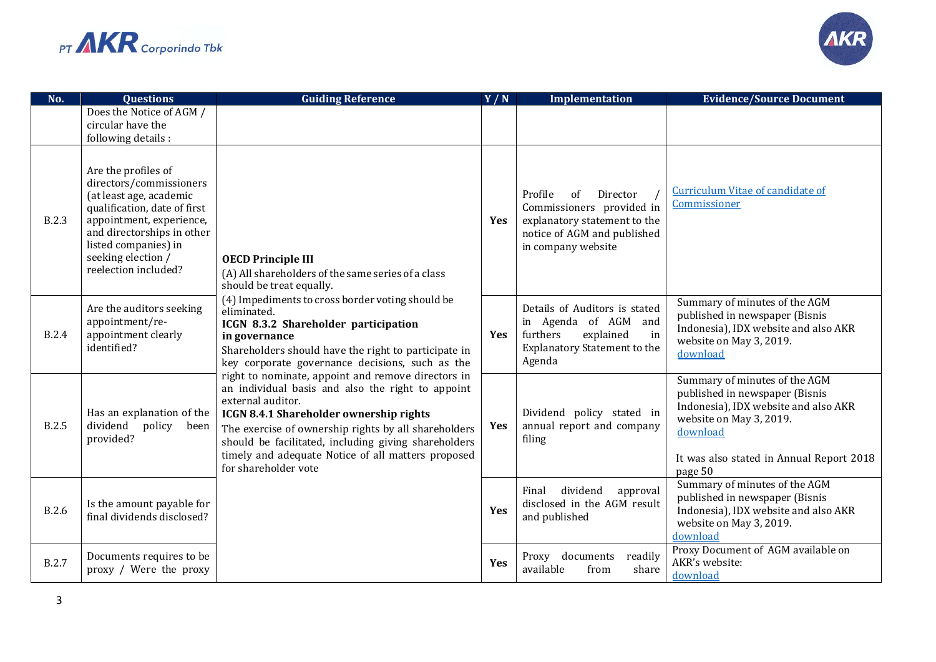



| No.          | <b>Questions</b>                                                                                                                                                                                                                          | <b>Guiding Reference</b>                                                                                                                                                                                                                                                                                                                                                                                                                                                                                                                                                                                                                                                                                                    | Y/N        | <b>Implementation</b>                                                                                                                       | <b>Evidence/Source Document</b>                                                                                                                                                                       |
|--------------|-------------------------------------------------------------------------------------------------------------------------------------------------------------------------------------------------------------------------------------------|-----------------------------------------------------------------------------------------------------------------------------------------------------------------------------------------------------------------------------------------------------------------------------------------------------------------------------------------------------------------------------------------------------------------------------------------------------------------------------------------------------------------------------------------------------------------------------------------------------------------------------------------------------------------------------------------------------------------------------|------------|---------------------------------------------------------------------------------------------------------------------------------------------|-------------------------------------------------------------------------------------------------------------------------------------------------------------------------------------------------------|
|              | Does the Notice of AGM /<br>circular have the<br>following details :                                                                                                                                                                      |                                                                                                                                                                                                                                                                                                                                                                                                                                                                                                                                                                                                                                                                                                                             |            |                                                                                                                                             |                                                                                                                                                                                                       |
| <b>B.2.3</b> | Are the profiles of<br>directors/commissioners<br>(at least age, academic<br>qualification, date of first<br>appointment, experience,<br>and directorships in other<br>listed companies) in<br>seeking election /<br>reelection included? | <b>OECD Principle III</b><br>(A) All shareholders of the same series of a class<br>should be treat equally.<br>(4) Impediments to cross border voting should be<br>eliminated.<br>ICGN 8.3.2 Shareholder participation<br>in governance<br>Shareholders should have the right to participate in<br>key corporate governance decisions, such as the<br>right to nominate, appoint and remove directors in<br>an individual basis and also the right to appoint<br>external auditor.<br>ICGN 8.4.1 Shareholder ownership rights<br>The exercise of ownership rights by all shareholders<br>should be facilitated, including giving shareholders<br>timely and adequate Notice of all matters proposed<br>for shareholder vote | <b>Yes</b> | Profile<br>of<br>Director<br>Commissioners provided in<br>explanatory statement to the<br>notice of AGM and published<br>in company website | <b>Curriculum Vitae of candidate of</b><br>Commissioner                                                                                                                                               |
| <b>B.2.4</b> | Are the auditors seeking<br>appointment/re-<br>appointment clearly<br>identified?                                                                                                                                                         |                                                                                                                                                                                                                                                                                                                                                                                                                                                                                                                                                                                                                                                                                                                             | Yes        | Details of Auditors is stated<br>in Agenda of AGM and<br>furthers<br>explained<br>in<br><b>Explanatory Statement to the</b><br>Agenda       | Summary of minutes of the AGM<br>published in newspaper (Bisnis<br>Indonesia), IDX website and also AKR<br>website on May 3, 2019.<br>download                                                        |
| <b>B.2.5</b> | Has an explanation of the<br>dividend<br>policy<br>been<br>provided?                                                                                                                                                                      |                                                                                                                                                                                                                                                                                                                                                                                                                                                                                                                                                                                                                                                                                                                             | <b>Yes</b> | Dividend policy stated in<br>annual report and company<br>filing                                                                            | Summary of minutes of the AGM<br>published in newspaper (Bisnis<br>Indonesia), IDX website and also AKR<br>website on May 3, 2019.<br>download<br>It was also stated in Annual Report 2018<br>page 50 |
| <b>B.2.6</b> | Is the amount payable for<br>final dividends disclosed?                                                                                                                                                                                   |                                                                                                                                                                                                                                                                                                                                                                                                                                                                                                                                                                                                                                                                                                                             | Yes        | dividend<br>Final<br>approval<br>disclosed in the AGM result<br>and published                                                               | Summary of minutes of the AGM<br>published in newspaper (Bisnis<br>Indonesia), IDX website and also AKR<br>website on May 3, 2019.<br>download                                                        |
| <b>B.2.7</b> | Documents requires to be<br>proxy / Were the proxy                                                                                                                                                                                        |                                                                                                                                                                                                                                                                                                                                                                                                                                                                                                                                                                                                                                                                                                                             | Yes        | Proxy documents<br>readily<br>available<br>share<br>from                                                                                    | Proxy Document of AGM available on<br>AKR's website:<br>download                                                                                                                                      |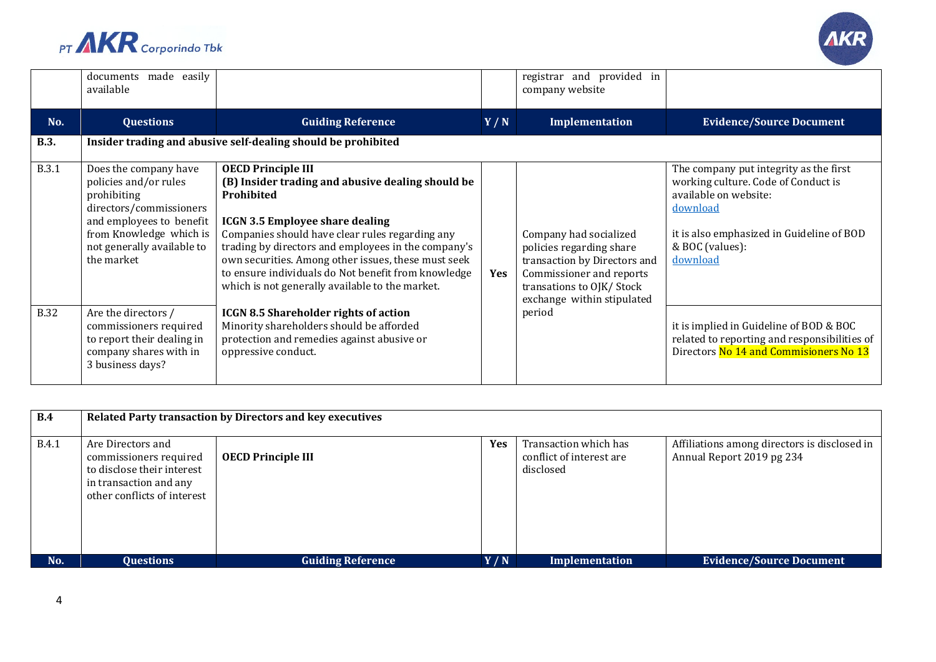



|              | documents made easily<br>available                                                                                                                                                          |                                                                                                                                                                                                                                                                                                                                                                                                                   |     | registrar and provided in<br>company website                                                                                                                             |                                                                                                                                                                                                |
|--------------|---------------------------------------------------------------------------------------------------------------------------------------------------------------------------------------------|-------------------------------------------------------------------------------------------------------------------------------------------------------------------------------------------------------------------------------------------------------------------------------------------------------------------------------------------------------------------------------------------------------------------|-----|--------------------------------------------------------------------------------------------------------------------------------------------------------------------------|------------------------------------------------------------------------------------------------------------------------------------------------------------------------------------------------|
| No.          | <b>Questions</b>                                                                                                                                                                            | <b>Guiding Reference</b>                                                                                                                                                                                                                                                                                                                                                                                          | Y/N | Implementation                                                                                                                                                           | <b>Evidence/Source Document</b>                                                                                                                                                                |
| <b>B.3.</b>  |                                                                                                                                                                                             | Insider trading and abusive self-dealing should be prohibited                                                                                                                                                                                                                                                                                                                                                     |     |                                                                                                                                                                          |                                                                                                                                                                                                |
| <b>B.3.1</b> | Does the company have<br>policies and/or rules<br>prohibiting<br>directors/commissioners<br>and employees to benefit<br>from Knowledge which is<br>not generally available to<br>the market | <b>OECD Principle III</b><br>(B) Insider trading and abusive dealing should be<br>Prohibited<br><b>ICGN 3.5 Employee share dealing</b><br>Companies should have clear rules regarding any<br>trading by directors and employees in the company's<br>own securities. Among other issues, these must seek<br>to ensure individuals do Not benefit from knowledge<br>which is not generally available to the market. | Yes | Company had socialized<br>policies regarding share<br>transaction by Directors and<br>Commissioner and reports<br>transations to OJK/Stock<br>exchange within stipulated | The company put integrity as the first<br>working culture. Code of Conduct is<br>available on website:<br>download<br>it is also emphasized in Guideline of BOD<br>& BOC (values):<br>download |
| <b>B.32</b>  | Are the directors /<br>commissioners required<br>to report their dealing in<br>company shares with in<br>3 business days?                                                                   | <b>ICGN 8.5 Shareholder rights of action</b><br>Minority shareholders should be afforded<br>protection and remedies against abusive or<br>oppressive conduct.                                                                                                                                                                                                                                                     |     | period                                                                                                                                                                   | it is implied in Guideline of BOD & BOC<br>related to reporting and responsibilities of<br>Directors No 14 and Commisioners No 13                                                              |

| B.4          | Related Party transaction by Directors and key executives                                                                          |                           |            |                                                                |                                                                           |  |
|--------------|------------------------------------------------------------------------------------------------------------------------------------|---------------------------|------------|----------------------------------------------------------------|---------------------------------------------------------------------------|--|
| <b>B.4.1</b> | Are Directors and<br>commissioners required<br>to disclose their interest<br>in transaction and any<br>other conflicts of interest | <b>OECD Principle III</b> | <b>Yes</b> | Transaction which has<br>conflict of interest are<br>disclosed | Affiliations among directors is disclosed in<br>Annual Report 2019 pg 234 |  |
| No.          | <b>Questions</b>                                                                                                                   | <b>Guiding Reference</b>  | Y/N        | <b>Implementation</b>                                          | <b>Evidence/Source Document</b>                                           |  |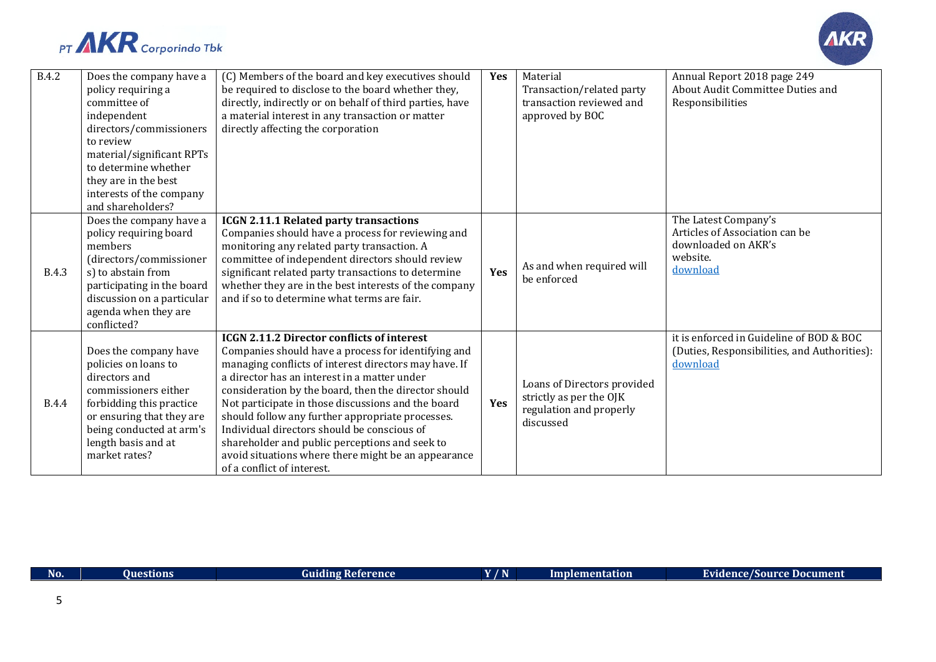



| <b>B.4.2</b> | Does the company have a<br>policy requiring a<br>committee of<br>independent<br>directors/commissioners<br>to review<br>material/significant RPTs<br>to determine whether<br>they are in the best<br>interests of the company<br>and shareholders? | (C) Members of the board and key executives should<br>be required to disclose to the board whether they,<br>directly, indirectly or on behalf of third parties, have<br>a material interest in any transaction or matter<br>directly affecting the corporation                                                                                                                                                                                                                                                                                                            | <b>Yes</b> | Material<br>Transaction/related party<br>transaction reviewed and<br>approved by BOC           | Annual Report 2018 page 249<br>About Audit Committee Duties and<br>Responsibilities                   |
|--------------|----------------------------------------------------------------------------------------------------------------------------------------------------------------------------------------------------------------------------------------------------|---------------------------------------------------------------------------------------------------------------------------------------------------------------------------------------------------------------------------------------------------------------------------------------------------------------------------------------------------------------------------------------------------------------------------------------------------------------------------------------------------------------------------------------------------------------------------|------------|------------------------------------------------------------------------------------------------|-------------------------------------------------------------------------------------------------------|
| <b>B.4.3</b> | Does the company have a<br>policy requiring board<br>members<br>(directors/commissioner<br>s) to abstain from<br>participating in the board<br>discussion on a particular<br>agenda when they are<br>conflicted?                                   | ICGN 2.11.1 Related party transactions<br>Companies should have a process for reviewing and<br>monitoring any related party transaction. A<br>committee of independent directors should review<br>significant related party transactions to determine<br>whether they are in the best interests of the company<br>and if so to determine what terms are fair.                                                                                                                                                                                                             | <b>Yes</b> | As and when required will<br>be enforced                                                       | The Latest Company's<br>Articles of Association can be<br>downloaded on AKR's<br>website.<br>download |
| <b>B.4.4</b> | Does the company have<br>policies on loans to<br>directors and<br>commissioners either<br>forbidding this practice<br>or ensuring that they are<br>being conducted at arm's<br>length basis and at<br>market rates?                                | <b>ICGN 2.11.2 Director conflicts of interest</b><br>Companies should have a process for identifying and<br>managing conflicts of interest directors may have. If<br>a director has an interest in a matter under<br>consideration by the board, then the director should<br>Not participate in those discussions and the board<br>should follow any further appropriate processes.<br>Individual directors should be conscious of<br>shareholder and public perceptions and seek to<br>avoid situations where there might be an appearance<br>of a conflict of interest. | <b>Yes</b> | Loans of Directors provided<br>strictly as per the OJK<br>regulation and properly<br>discussed | it is enforced in Guideline of BOD & BOC<br>(Duties, Responsibilities, and Authorities):<br>download  |